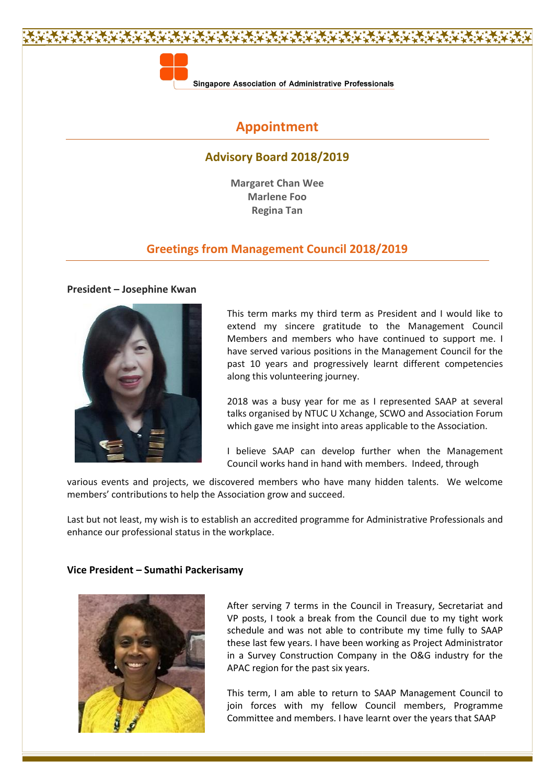

Singapore Association of Administrative Professionals

# **Appointment**

# **Advisory Board 2018/2019**

**Margaret Chan Wee Marlene Foo Regina Tan**

# **Greetings from Management Council 2018/2019**

#### **President – Josephine Kwan**



This term marks my third term as President and I would like to extend my sincere gratitude to the Management Council Members and members who have continued to support me. I have served various positions in the Management Council for the past 10 years and progressively learnt different competencies along this volunteering journey.

2018 was a busy year for me as I represented SAAP at several talks organised by NTUC U Xchange, SCWO and Association Forum which gave me insight into areas applicable to the Association.

I believe SAAP can develop further when the Management Council works hand in hand with members. Indeed, through

various events and projects, we discovered members who have many hidden talents. We welcome members' contributions to help the Association grow and succeed.

Last but not least, my wish is to establish an accredited programme for Administrative Professionals and enhance our professional status in the workplace.

# **Vice President – Sumathi Packerisamy**



After serving 7 terms in the Council in Treasury, Secretariat and VP posts, I took a break from the Council due to my tight work schedule and was not able to contribute my time fully to SAAP these last few years. I have been working as Project Administrator in a Survey Construction Company in the O&G industry for the APAC region for the past six years.

This term, I am able to return to SAAP Management Council to join forces with my fellow Council members, Programme Committee and members. I have learnt over the years that SAAP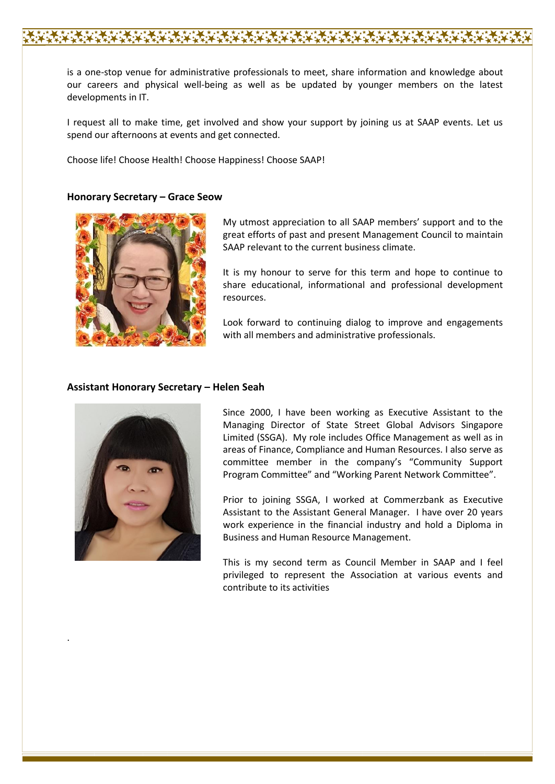is a one-stop venue for administrative professionals to meet, share information and knowledge about our careers and physical well-being as well as be updated by younger members on the latest developments in IT.

I request all to make time, get involved and show your support by joining us at SAAP events. Let us spend our afternoons at events and get connected.

Choose life! Choose Health! Choose Happiness! Choose SAAP!

#### **Honorary Secretary – Grace Seow**



My utmost appreciation to all SAAP members' support and to the great efforts of past and present Management Council to maintain SAAP relevant to the current business climate.

It is my honour to serve for this term and hope to continue to share educational, informational and professional development resources.

Look forward to continuing dialog to improve and engagements with all members and administrative professionals.

#### **Assistant Honorary Secretary – Helen Seah**



.

Since 2000, I have been working as Executive Assistant to the Managing Director of State Street Global Advisors Singapore Limited (SSGA). My role includes Office Management as well as in areas of Finance, Compliance and Human Resources. I also serve as committee member in the company's "Community Support Program Committee" and "Working Parent Network Committee".

Prior to joining SSGA, I worked at Commerzbank as Executive Assistant to the Assistant General Manager. I have over 20 years work experience in the financial industry and hold a Diploma in Business and Human Resource Management.

This is my second term as Council Member in SAAP and I feel privileged to represent the Association at various events and contribute to its activities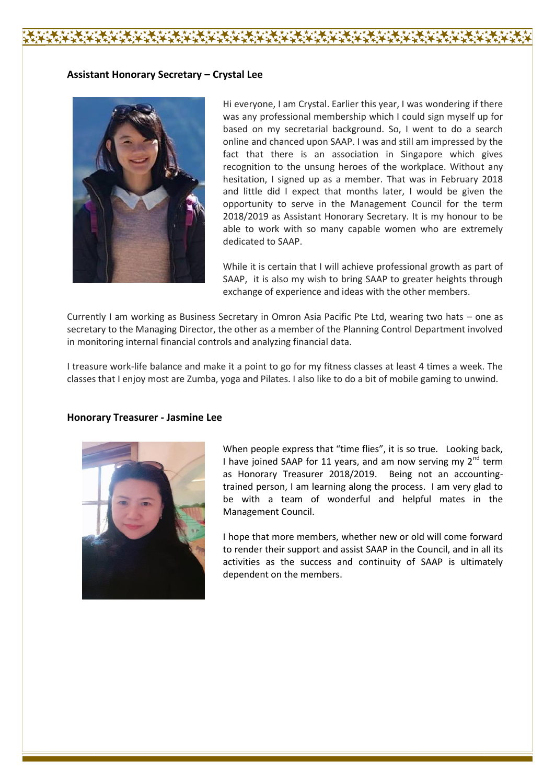## **Assistant Honorary Secretary – Crystal Lee**



Hi everyone, I am Crystal. Earlier this year, I was wondering if there was any professional membership which I could sign myself up for based on my secretarial background. So, I went to do a search online and chanced upon SAAP. I was and still am impressed by the fact that there is an association in Singapore which gives recognition to the unsung heroes of the workplace. Without any hesitation, I signed up as a member. That was in February 2018 and little did I expect that months later, I would be given the opportunity to serve in the Management Council for the term 2018/2019 as Assistant Honorary Secretary. It is my honour to be able to work with so many capable women who are extremely dedicated to SAAP.

While it is certain that I will achieve professional growth as part of SAAP, it is also my wish to bring SAAP to greater heights through exchange of experience and ideas with the other members.

Currently I am working as Business Secretary in Omron Asia Pacific Pte Ltd, wearing two hats – one as secretary to the Managing Director, the other as a member of the Planning Control Department involved in monitoring internal financial controls and analyzing financial data.

I treasure work-life balance and make it a point to go for my fitness classes at least 4 times a week. The classes that I enjoy most are Zumba, yoga and Pilates. I also like to do a bit of mobile gaming to unwind.

### **Honorary Treasurer - Jasmine Lee**



When people express that "time flies", it is so true. Looking back, I have joined SAAP for 11 years, and am now serving my  $2<sup>nd</sup>$  term as Honorary Treasurer 2018/2019. Being not an accountingtrained person, I am learning along the process. I am very glad to be with a team of wonderful and helpful mates in the Management Council.

I hope that more members, whether new or old will come forward to render their support and assist SAAP in the Council, and in all its activities as the success and continuity of SAAP is ultimately dependent on the members.